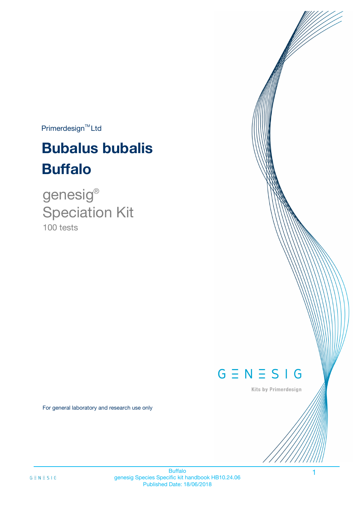$Primerdesign^{TM}$ Ltd

# **Bubalus bubalis Buffalo**

100 tests genesig ® Speciation Kit

# $G \equiv N \equiv S \mid G$

Kits by Primerdesign

1

For general laboratory and research use only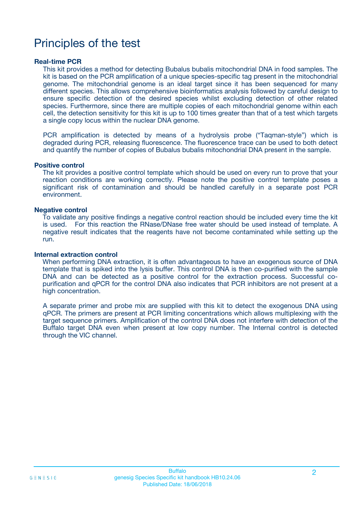# Principles of the test

### **Real-time PCR**

This kit provides a method for detecting Bubalus bubalis mitochondrial DNA in food samples. The kit is based on the PCR amplification of a unique species-specific tag present in the mitochondrial genome. The mitochondrial genome is an ideal target since it has been sequenced for many different species. This allows comprehensive bioinformatics analysis followed by careful design to ensure specific detection of the desired species whilst excluding detection of other related species. Furthermore, since there are multiple copies of each mitochondrial genome within each cell, the detection sensitivity for this kit is up to 100 times greater than that of a test which targets a single copy locus within the nuclear DNA genome.

PCR amplification is detected by means of a hydrolysis probe ("Taqman-style") which is degraded during PCR, releasing fluorescence. The fluorescence trace can be used to both detect and quantify the number of copies of Bubalus bubalis mitochondrial DNA present in the sample.

### **Positive control**

The kit provides a positive control template which should be used on every run to prove that your reaction conditions are working correctly. Please note the positive control template poses a significant risk of contamination and should be handled carefully in a separate post PCR environment.

### **Negative control**

To validate any positive findings a negative control reaction should be included every time the kit is used. For this reaction the RNase/DNase free water should be used instead of template. A negative result indicates that the reagents have not become contaminated while setting up the run.

#### **Internal extraction control**

When performing DNA extraction, it is often advantageous to have an exogenous source of DNA template that is spiked into the lysis buffer. This control DNA is then co-purified with the sample DNA and can be detected as a positive control for the extraction process. Successful copurification and qPCR for the control DNA also indicates that PCR inhibitors are not present at a high concentration.

A separate primer and probe mix are supplied with this kit to detect the exogenous DNA using qPCR. The primers are present at PCR limiting concentrations which allows multiplexing with the target sequence primers. Amplification of the control DNA does not interfere with detection of the Buffalo target DNA even when present at low copy number. The Internal control is detected through the VIC channel.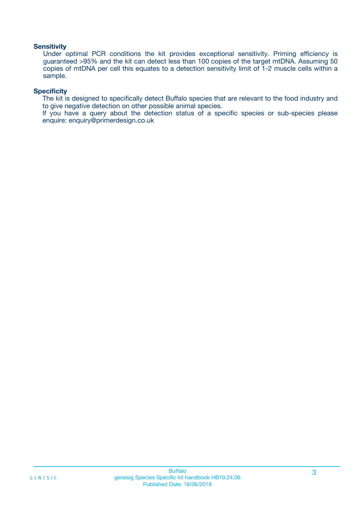### **Sensitivity**

Under optimal PCR conditions the kit provides exceptional sensitivity. Priming efficiency is guaranteed >95% and the kit can detect less than 100 copies of the target mtDNA. Assuming 50 copies of mtDNA per cell this equates to a detection sensitivity limit of 1-2 muscle cells within a sample.

### **Specificity**

The kit is designed to specifically detect Buffalo species that are relevant to the food industry and to give negative detection on other possible animal species.

If you have a query about the detection status of a specific species or sub-species please enquire: enquiry@primerdesign.co.uk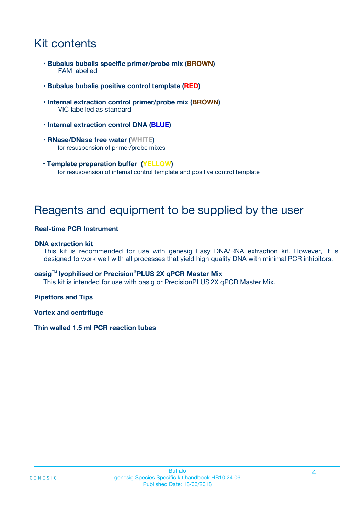# Kit contents

- **Bubalus bubalis specific primer/probe mix (BROWN)** FAM labelled
- **Bubalus bubalis positive control template (RED)**
- **Internal extraction control primer/probe mix (BROWN)** VIC labelled as standard
- **Internal extraction control DNA (BLUE)**
- **RNase/DNase free water (WHITE)** for resuspension of primer/probe mixes
- **Template preparation buffer (YELLOW)** for resuspension of internal control template and positive control template

# Reagents and equipment to be supplied by the user

### **Real-time PCR Instrument**

### **DNA extraction kit**

This kit is recommended for use with genesig Easy DNA/RNA extraction kit. However, it is designed to work well with all processes that yield high quality DNA with minimal PCR inhibitors.

### **oasig**TM **lyophilised or Precision**®**PLUS 2X qPCR Master Mix**

This kit is intended for use with oasig or PrecisionPLUS2X qPCR Master Mix.

### **Pipettors and Tips**

**Vortex and centrifuge**

### **Thin walled 1.5 ml PCR reaction tubes**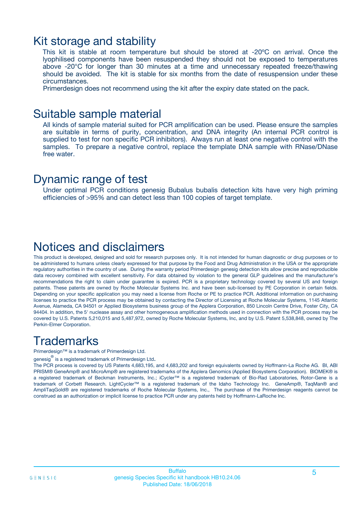### Kit storage and stability

This kit is stable at room temperature but should be stored at -20ºC on arrival. Once the lyophilised components have been resuspended they should not be exposed to temperatures above -20°C for longer than 30 minutes at a time and unnecessary repeated freeze/thawing should be avoided. The kit is stable for six months from the date of resuspension under these circumstances.

Primerdesign does not recommend using the kit after the expiry date stated on the pack.

### Suitable sample material

All kinds of sample material suited for PCR amplification can be used. Please ensure the samples are suitable in terms of purity, concentration, and DNA integrity (An internal PCR control is supplied to test for non specific PCR inhibitors). Always run at least one negative control with the samples. To prepare a negative control, replace the template DNA sample with RNase/DNase free water.

### Dynamic range of test

Under optimal PCR conditions genesig Bubalus bubalis detection kits have very high priming efficiencies of >95% and can detect less than 100 copies of target template.

## Notices and disclaimers

This product is developed, designed and sold for research purposes only. It is not intended for human diagnostic or drug purposes or to be administered to humans unless clearly expressed for that purpose by the Food and Drug Administration in the USA or the appropriate regulatory authorities in the country of use. During the warranty period Primerdesign genesig detection kits allow precise and reproducible data recovery combined with excellent sensitivity. For data obtained by violation to the general GLP guidelines and the manufacturer's recommendations the right to claim under guarantee is expired. PCR is a proprietary technology covered by several US and foreign patents. These patents are owned by Roche Molecular Systems Inc. and have been sub-licensed by PE Corporation in certain fields. Depending on your specific application you may need a license from Roche or PE to practice PCR. Additional information on purchasing licenses to practice the PCR process may be obtained by contacting the Director of Licensing at Roche Molecular Systems, 1145 Atlantic Avenue, Alameda, CA 94501 or Applied Biosystems business group of the Applera Corporation, 850 Lincoln Centre Drive, Foster City, CA 94404. In addition, the 5' nuclease assay and other homogeneous amplification methods used in connection with the PCR process may be covered by U.S. Patents 5,210,015 and 5,487,972, owned by Roche Molecular Systems, Inc, and by U.S. Patent 5,538,848, owned by The Perkin-Elmer Corporation.

# **Trademarks**

Primerdesign™ is a trademark of Primerdesign Ltd.

genesig $^\circledR$  is a registered trademark of Primerdesign Ltd.

The PCR process is covered by US Patents 4,683,195, and 4,683,202 and foreign equivalents owned by Hoffmann-La Roche AG. BI, ABI PRISM® GeneAmp® and MicroAmp® are registered trademarks of the Applera Genomics (Applied Biosystems Corporation). BIOMEK® is a registered trademark of Beckman Instruments, Inc.; iCycler™ is a registered trademark of Bio-Rad Laboratories, Rotor-Gene is a trademark of Corbett Research. LightCycler™ is a registered trademark of the Idaho Technology Inc. GeneAmp®, TaqMan® and AmpliTaqGold® are registered trademarks of Roche Molecular Systems, Inc., The purchase of the Primerdesign reagents cannot be construed as an authorization or implicit license to practice PCR under any patents held by Hoffmann-LaRoche Inc.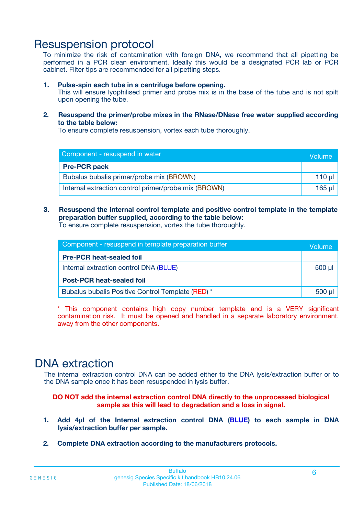# Resuspension protocol

To minimize the risk of contamination with foreign DNA, we recommend that all pipetting be performed in a PCR clean environment. Ideally this would be a designated PCR lab or PCR cabinet. Filter tips are recommended for all pipetting steps.

### **1. Pulse-spin each tube in a centrifuge before opening.**

This will ensure lyophilised primer and probe mix is in the base of the tube and is not spilt upon opening the tube.

**2. Resuspend the primer/probe mixes in the RNase/DNase free water supplied according to the table below:**

To ensure complete resuspension, vortex each tube thoroughly.

| Component - resuspend in water                       |         |  |
|------------------------------------------------------|---------|--|
| <b>Pre-PCR pack</b>                                  |         |  |
| Bubalus bubalis primer/probe mix (BROWN)             | $110$ µ |  |
| Internal extraction control primer/probe mix (BROWN) | 165 ul  |  |

### **3. Resuspend the internal control template and positive control template in the template preparation buffer supplied, according to the table below:**

To ensure complete resuspension, vortex the tube thoroughly.

| Component - resuspend in template preparation buffer |             |  |
|------------------------------------------------------|-------------|--|
| <b>Pre-PCR heat-sealed foil</b>                      |             |  |
| Internal extraction control DNA (BLUE)               | $500$ $\mu$ |  |
| <b>Post-PCR heat-sealed foil</b>                     |             |  |
| Bubalus bubalis Positive Control Template (RED) *    |             |  |

\* This component contains high copy number template and is a VERY significant contamination risk. It must be opened and handled in a separate laboratory environment, away from the other components.

# DNA extraction

The internal extraction control DNA can be added either to the DNA lysis/extraction buffer or to the DNA sample once it has been resuspended in lysis buffer.

**DO NOT add the internal extraction control DNA directly to the unprocessed biological sample as this will lead to degradation and a loss in signal.**

- **1. Add 4µl of the Internal extraction control DNA (BLUE) to each sample in DNA lysis/extraction buffer per sample.**
- **2. Complete DNA extraction according to the manufacturers protocols.**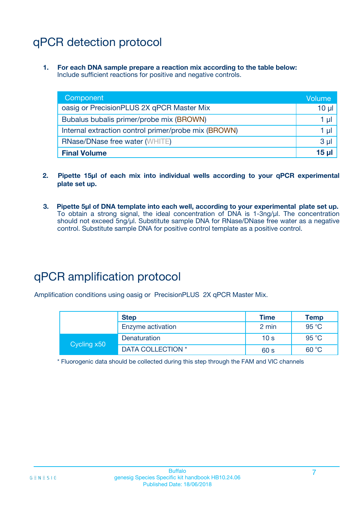# qPCR detection protocol

**1. For each DNA sample prepare a reaction mix according to the table below:** Include sufficient reactions for positive and negative controls.

| Component                                            | Volume         |
|------------------------------------------------------|----------------|
| oasig or PrecisionPLUS 2X qPCR Master Mix            | $10 \mu$       |
| Bubalus bubalis primer/probe mix (BROWN)             | 1 µl           |
| Internal extraction control primer/probe mix (BROWN) | 1 µl           |
| <b>RNase/DNase free water (WHITE)</b>                | 3 <sub>µ</sub> |
| <b>Final Volume</b>                                  | 15 u           |

- **2. Pipette 15µl of each mix into individual wells according to your qPCR experimental plate set up.**
- **3. Pipette 5µl of DNA template into each well, according to your experimental plate set up.** To obtain a strong signal, the ideal concentration of DNA is 1-3ng/µl. The concentration should not exceed 5ng/µl. Substitute sample DNA for RNase/DNase free water as a negative control. Substitute sample DNA for positive control template as a positive control.

# qPCR amplification protocol

Amplification conditions using oasig or PrecisionPLUS 2X qPCR Master Mix.

|             | <b>Step</b>       | <b>Time</b>     | Temp           |
|-------------|-------------------|-----------------|----------------|
|             | Enzyme activation | 2 min           | 95 °C          |
| Cycling x50 | Denaturation      | 10 <sub>s</sub> | $95^{\circ}$ C |
|             | DATA COLLECTION * | 60 s            | 60 °C          |

\* Fluorogenic data should be collected during this step through the FAM and VIC channels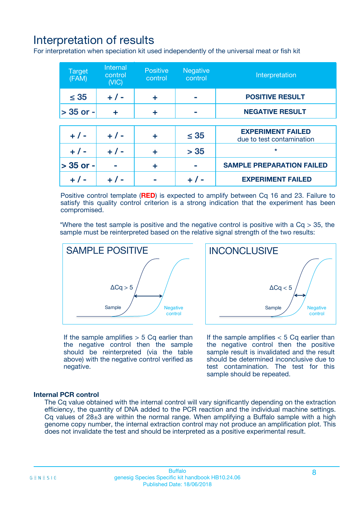# Interpretation of results

For interpretation when speciation kit used independently of the universal meat or fish kit

| <b>Target</b><br>(FAM) | <b>Internal</b><br>control<br>(VIC) | <b>Positive</b><br>control | <b>Negative</b><br>control | Interpretation                                        |
|------------------------|-------------------------------------|----------------------------|----------------------------|-------------------------------------------------------|
| $\leq 35$              | $+ 1 -$                             | ÷                          |                            | <b>POSITIVE RESULT</b>                                |
| $> 35$ or -            | ÷                                   | ÷                          |                            | <b>NEGATIVE RESULT</b>                                |
|                        |                                     |                            |                            |                                                       |
| $+ 1 -$                | $+ 1 -$                             | ÷                          | $\leq 35$                  | <b>EXPERIMENT FAILED</b><br>due to test contamination |
| $+ 1 -$                | $+ 1 -$                             | ٠                          | > 35                       | $\star$                                               |
| $> 35$ or -            |                                     | ÷                          |                            | <b>SAMPLE PREPARATION FAILED</b>                      |
|                        |                                     |                            |                            | <b>EXPERIMENT FAILED</b>                              |

Positive control template (**RED**) is expected to amplify between Cq 16 and 23. Failure to satisfy this quality control criterion is a strong indication that the experiment has been compromised.

\*Where the test sample is positive and the negative control is positive with a  $Ca > 35$ , the sample must be reinterpreted based on the relative signal strength of the two results:



If the sample amplifies  $> 5$  Cq earlier than the negative control then the sample should be reinterpreted (via the table above) with the negative control verified as negative.

Sample  $/$  / Negative control  $\Delta$ Ca < 5 **INCONCLUSIVE** 

If the sample amplifies  $< 5$  Cq earlier than the negative control then the positive sample result is invalidated and the result should be determined inconclusive due to test contamination. The test for this sample should be repeated.

### **Internal PCR control**

The Cq value obtained with the internal control will vary significantly depending on the extraction efficiency, the quantity of DNA added to the PCR reaction and the individual machine settings. Cq values of  $28\pm3$  are within the normal range. When amplifying a Buffalo sample with a high genome copy number, the internal extraction control may not produce an amplification plot. This does not invalidate the test and should be interpreted as a positive experimental result.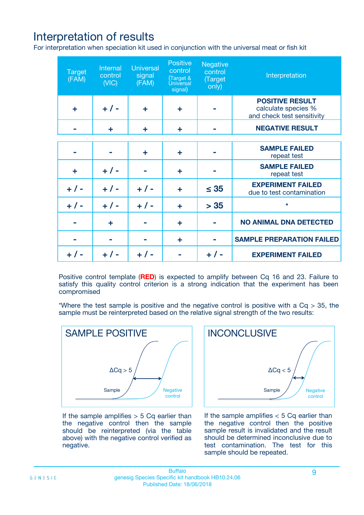# Interpretation of results

For interpretation when speciation kit used in conjunction with the universal meat or fish kit

| <b>Target</b><br>(FAM) | Internal<br>control<br>(NIC) | <b>Universal</b><br>signal<br>(FAM) | Positive<br>control<br>(Target &<br><b>Universal</b><br>signal) | <b>Negative</b><br>control<br>(Target<br>only) | Interpretation                                                              |
|------------------------|------------------------------|-------------------------------------|-----------------------------------------------------------------|------------------------------------------------|-----------------------------------------------------------------------------|
| ÷                      | $+$ / -                      | ÷                                   | ÷                                                               |                                                | <b>POSITIVE RESULT</b><br>calculate species %<br>and check test sensitivity |
|                        | ٠                            | ÷                                   | ÷                                                               |                                                | <b>NEGATIVE RESULT</b>                                                      |
|                        |                              |                                     |                                                                 |                                                |                                                                             |
|                        |                              | ÷                                   | ÷                                                               |                                                | <b>SAMPLE FAILED</b><br>repeat test                                         |
| ÷                      | $+ 1 -$                      |                                     | ÷                                                               |                                                | <b>SAMPLE FAILED</b><br>repeat test                                         |
| $+/-$                  | $+$ / -                      | $+/-$                               | ÷                                                               | $\leq 35$                                      | <b>EXPERIMENT FAILED</b><br>due to test contamination                       |
| $+ 1 -$                | $+$ / -                      | $+ 1 -$                             | ÷                                                               | > 35                                           | $\star$                                                                     |
|                        | ÷                            |                                     | ÷                                                               |                                                | <b>NO ANIMAL DNA DETECTED</b>                                               |
|                        |                              |                                     | ÷                                                               |                                                | <b>SAMPLE PREPARATION FAILED</b>                                            |
| $+  / -$               | $+ 1 -$                      |                                     |                                                                 |                                                | <b>EXPERIMENT FAILED</b>                                                    |

Positive control template (**RED**) is expected to amplify between Cq 16 and 23. Failure to satisfy this quality control criterion is a strong indication that the experiment has been compromised

\*Where the test sample is positive and the negative control is positive with a  $Cq > 35$ , the sample must be reinterpreted based on the relative signal strength of the two results:



If the sample amplifies  $> 5$  Cq earlier than the negative control then the sample should be reinterpreted (via the table above) with the negative control verified as negative.



If the sample amplifies  $< 5$  Cq earlier than the negative control then the positive sample result is invalidated and the result should be determined inconclusive due to test contamination. The test for this sample should be repeated.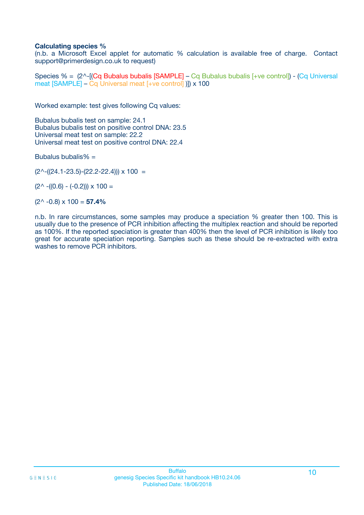### **Calculating species %**

(n.b. a Microsoft Excel applet for automatic % calculation is available free of charge. Contact support@primerdesign.co.uk to request)

Species % = (2^-[(Cq Bubalus bubalis [SAMPLE] – Cq Bubalus bubalis [+ve control]) - (Cq Universal meat [SAMPLE] – Cq Universal meat [+ve control] )]) x 100

Worked example: test gives following Cq values:

Bubalus bubalis test on sample: 24.1 Bubalus bubalis test on positive control DNA: 23.5 Universal meat test on sample: 22.2 Universal meat test on positive control DNA: 22.4

Bubalus bubalis%  $=$ 

 $(2^{\wedge}-(24.1-23.5)-(22.2-22.4))) \times 100 =$ 

 $(2^{\wedge}$  -((0.6) - (-0.2)))  $\times$  100 =

(2^ -0.8) x 100 = **57.4%**

n.b. In rare circumstances, some samples may produce a speciation % greater then 100. This is usually due to the presence of PCR inhibition affecting the multiplex reaction and should be reported as 100%. If the reported speciation is greater than 400% then the level of PCR inhibition is likely too great for accurate speciation reporting. Samples such as these should be re-extracted with extra washes to remove PCR inhibitors.